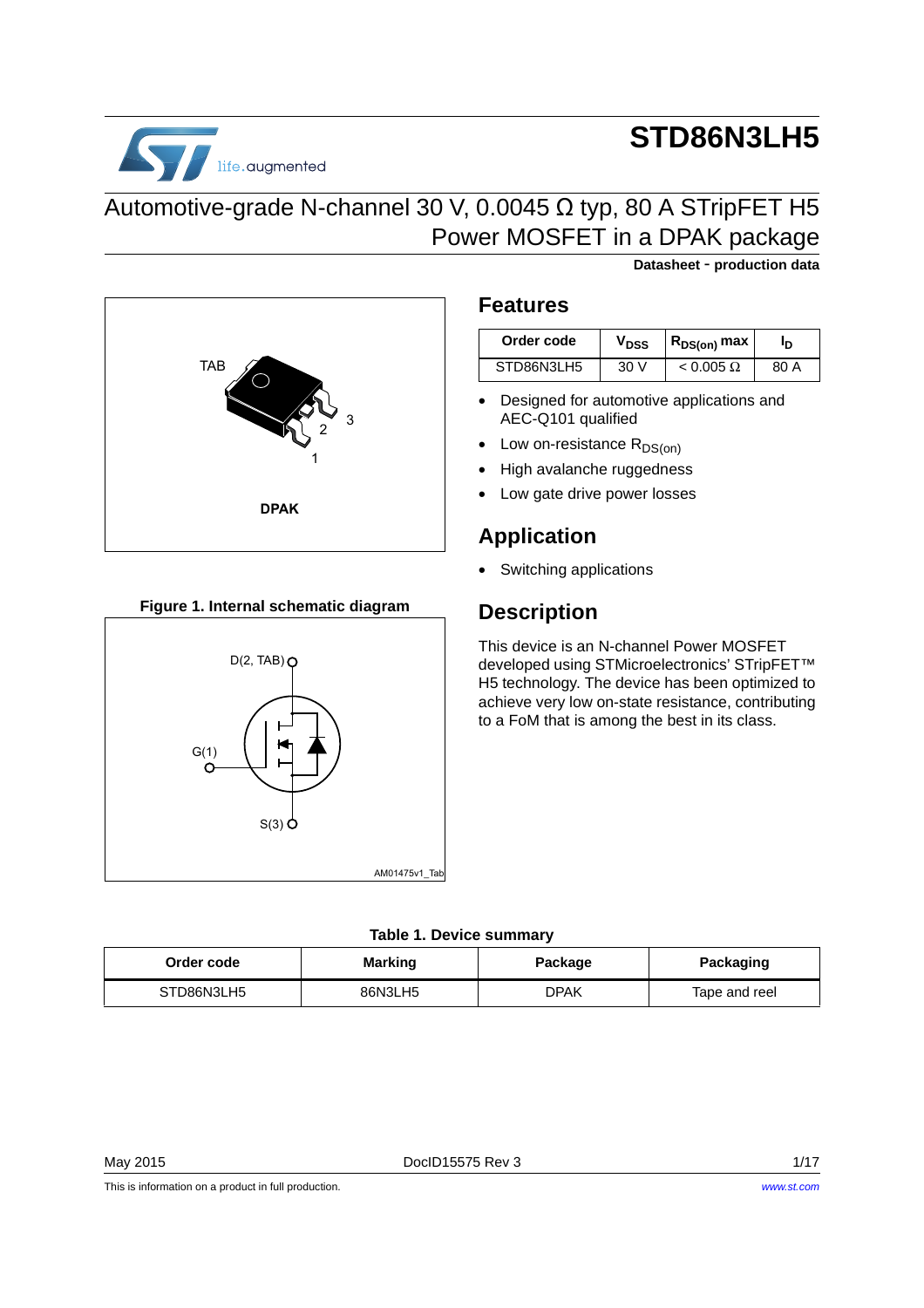

# **STD86N3LH5**

**Datasheet** - **production data**

### Automotive-grade N-channel 30 V, 0.0045 Ω typ, 80 A STripFET H5 Power MOSFET in a DPAK package



#### **Figure 1. Internal schematic diagram**



### **Features**

| Order code | $\bm{{\mathsf{v}}}_{\texttt{DSS}}$ | $R_{DS(on)}$ max |      |
|------------|------------------------------------|------------------|------|
| STD86N3LH5 | 30 V                               | $< 0.005 \Omega$ | 80 A |

- Designed for automotive applications and AEC-Q101 qualified
- Low on-resistance  $R_{DS(on)}$
- High avalanche ruggedness
- Low gate drive power losses

### **Application**

• Switching applications

### **Description**

This device is an N-channel Power MOSFET developed using STMicroelectronics' STripFET™ H5 technology. The device has been optimized to achieve very low on-state resistance, contributing to a FoM that is among the best in its class.

#### **Table 1. Device summary**

| Order code | <b>Marking</b> | Package | Packaging     |
|------------|----------------|---------|---------------|
| STD86N3LH5 | 86N3LH5        | DPAK    | Tape and reel |

May 2015 **Doclous American Strutter Contract Contract Contract Contract Contract Contract Contract Contract Contract Contract On the UNIT ON A 1/17 and 2015 01:00**  $\sim$  **1/17** 

This is information on a product in full production.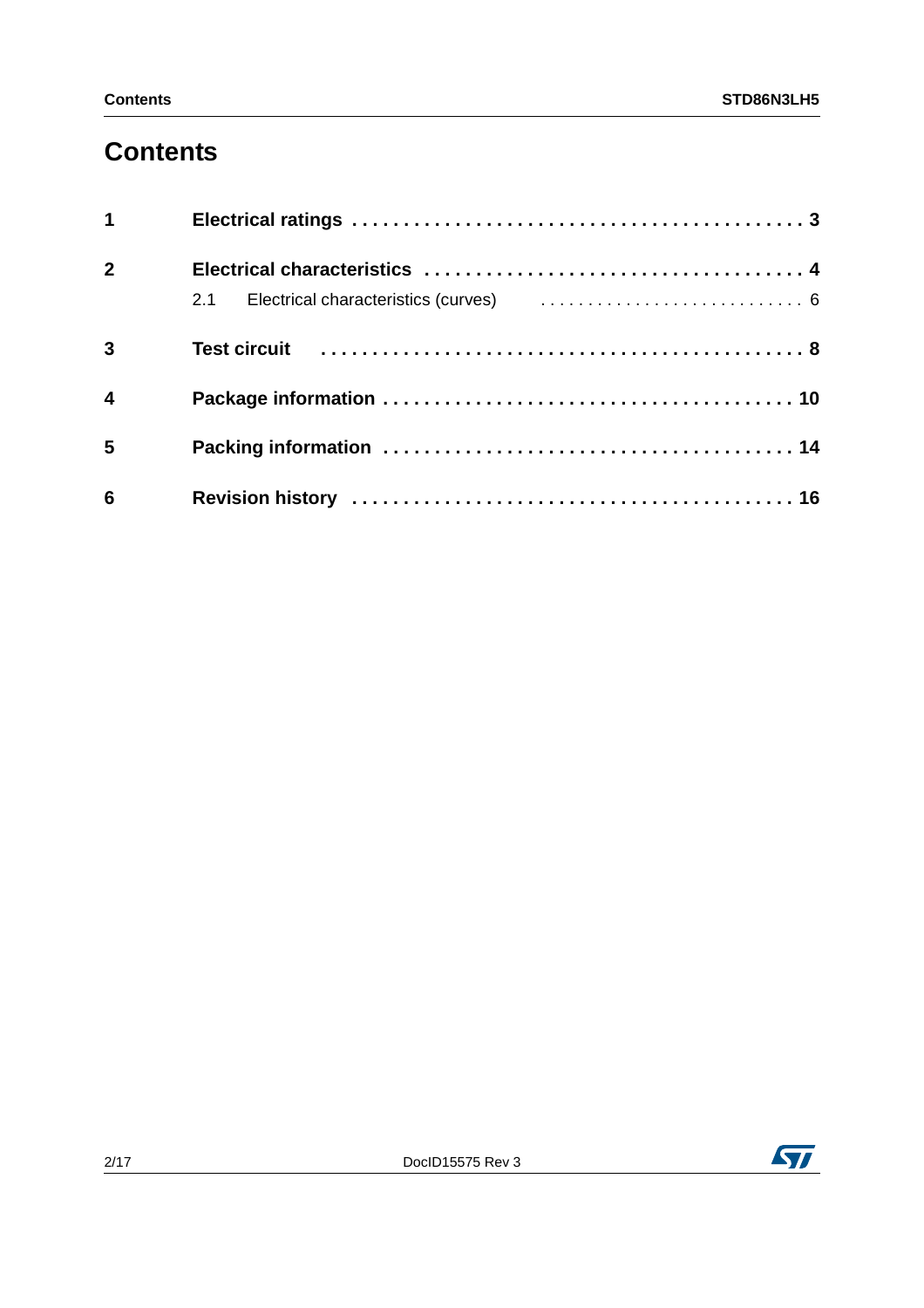## **Contents**

| $1 \quad \blacksquare$  |                                                                                                                |  |
|-------------------------|----------------------------------------------------------------------------------------------------------------|--|
| 2 <sup>1</sup>          |                                                                                                                |  |
|                         |                                                                                                                |  |
| $\overline{3}$          | Test circuit (al., 1991). Test circuit (al., 1991). Test circuit (al., 1991). Test circuit (al., 1991). Test c |  |
| $\overline{\mathbf{4}}$ |                                                                                                                |  |
| 5                       |                                                                                                                |  |
| $6\phantom{1}6$         |                                                                                                                |  |

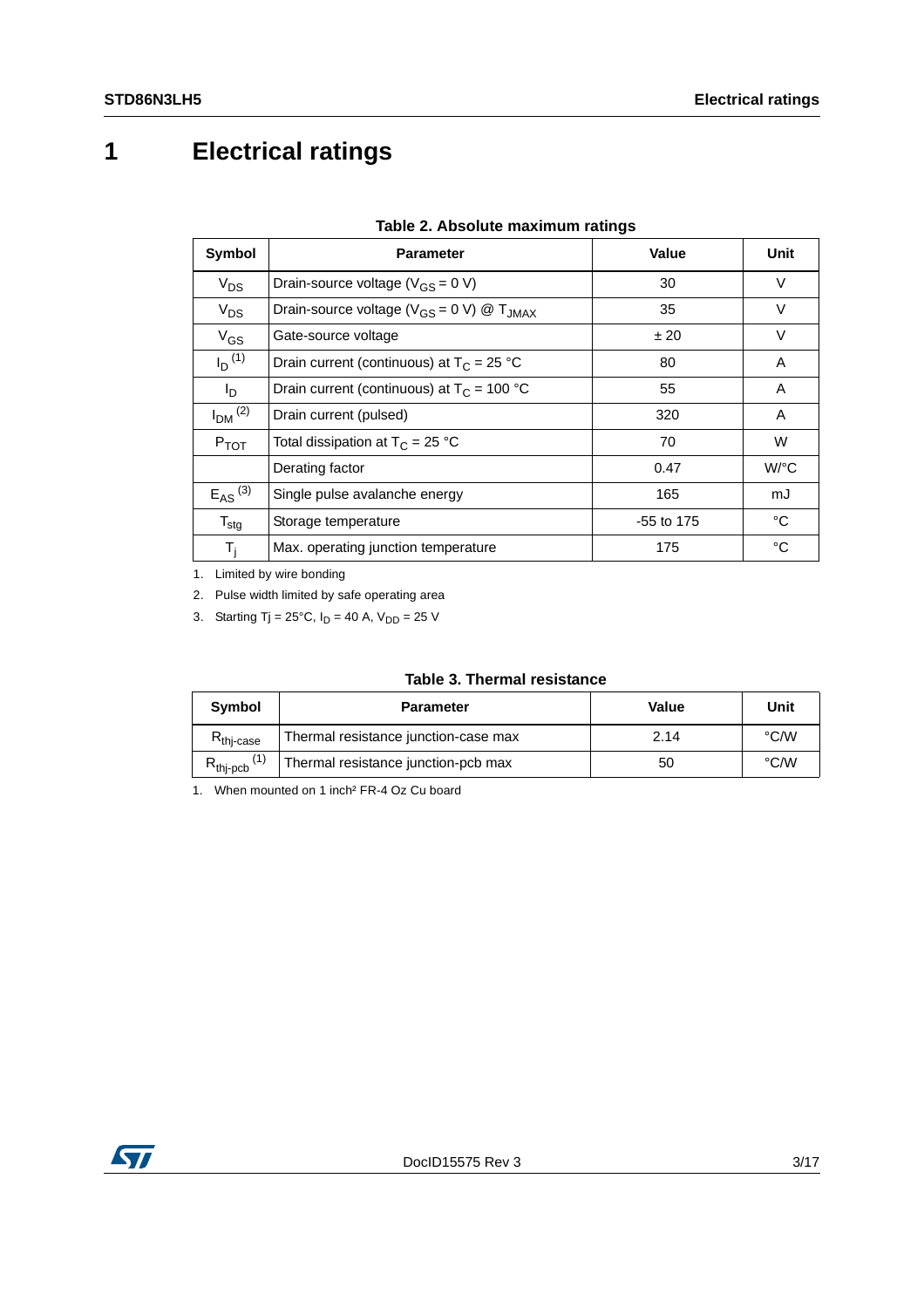# <span id="page-2-0"></span>**1 Electrical ratings**

<span id="page-2-1"></span>

| Symbol                  | <b>Parameter</b>                                           | Value      | Unit               |
|-------------------------|------------------------------------------------------------|------------|--------------------|
| $V_{DS}$                | Drain-source voltage ( $V_{GS}$ = 0 V)                     | 30         | $\vee$             |
| $V_{DS}$                | Drain-source voltage ( $V_{GS} = 0$ V) @ T <sub>JMAX</sub> | 35         | $\vee$             |
| $V_{GS}$                | Gate-source voltage                                        | ±20        | $\vee$             |
| $I_D$ <sup>(1)</sup>    | Drain current (continuous) at $T_c = 25 °C$                | 80         | A                  |
| l <sub>D</sub>          | Drain current (continuous) at $T_c = 100 °C$               | 55         | A                  |
| $IDM$ <sup>(2)</sup>    | Drain current (pulsed)                                     | 320        | A                  |
| $P_{TOT}$               | Total dissipation at $T_C = 25 °C$                         | 70         | W                  |
|                         | Derating factor                                            | 0.47       | $W$ <sup>o</sup> C |
| $E_{AS}$ <sup>(3)</sup> | Single pulse avalanche energy                              | 165        | mJ                 |
| $T_{\text{stg}}$        | Storage temperature                                        | -55 to 175 | °C                 |
| $T_i$                   | Max. operating junction temperature                        | 175        | °C                 |

1. Limited by wire bonding

2. Pulse width limited by safe operating area

3. Starting Tj =  $25^{\circ}$ C,  $I_D = 40$  A,  $V_{DD} = 25$  V

#### **Table 3. Thermal resistance**

| <b>Symbol</b>          | <b>Parameter</b>                     | Value | Unit               |
|------------------------|--------------------------------------|-------|--------------------|
| $R_{\text{thi-case}}$  | Thermal resistance junction-case max | 2.14  | $\rm ^{\circ}$ C/W |
| $R_{\mathsf{thj-pcb}}$ | Thermal resistance junction-pcb max  | 50    | °C/W               |

1. When mounted on 1 inch² FR-4 Oz Cu board

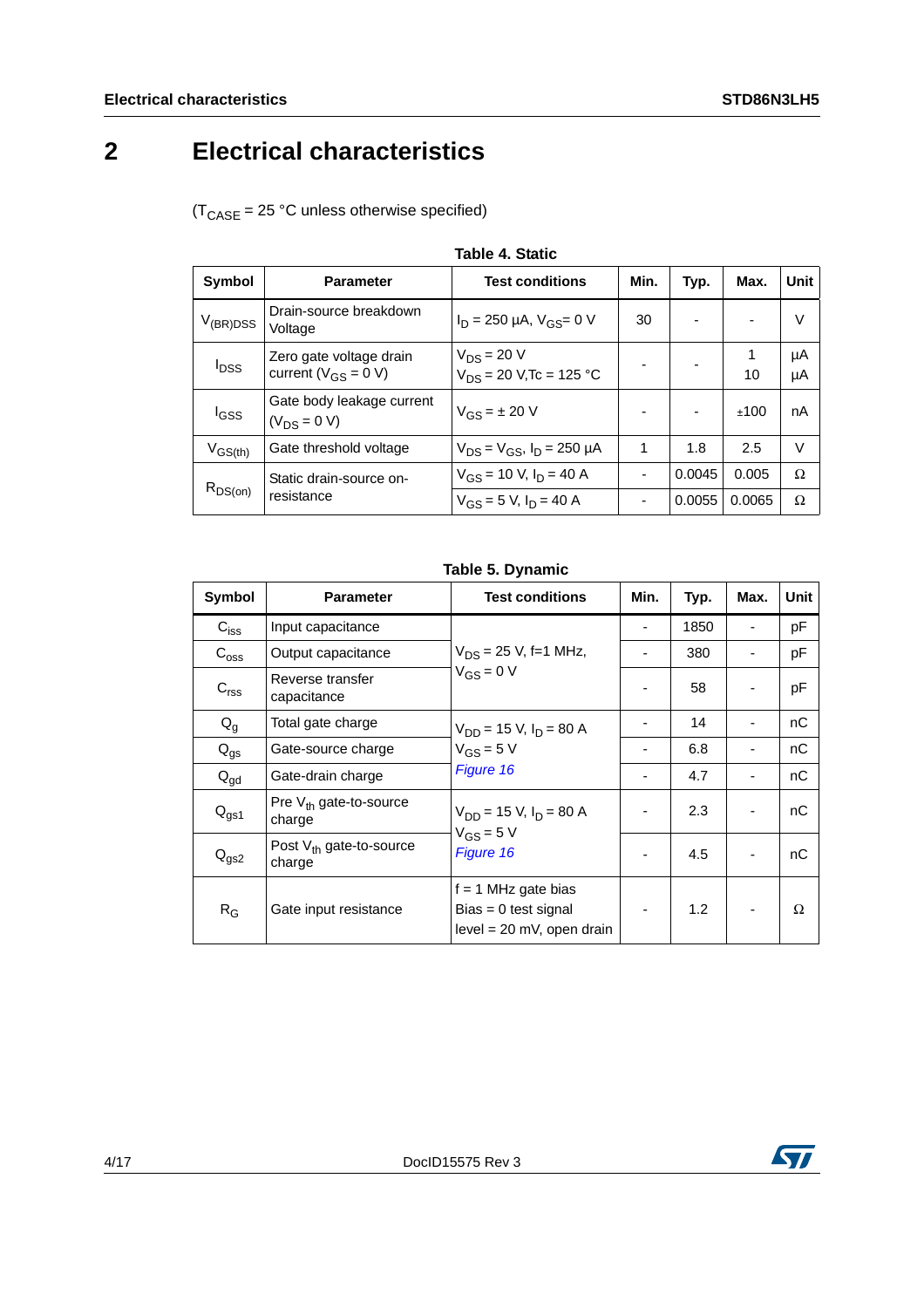# <span id="page-3-0"></span>**2 Electrical characteristics**

 $(T_{\text{CASE}} = 25 \text{ °C}$  unless otherwise specified)

<span id="page-3-1"></span>

| <b>Symbol</b>    | <b>Parameter</b>                                     | <b>Test conditions</b>                          | Min. | Typ.   | Max.    | Unit     |
|------------------|------------------------------------------------------|-------------------------------------------------|------|--------|---------|----------|
| $V_{(BR)DSS}$    | Drain-source breakdown<br>Voltage                    | $I_D$ = 250 µA, $V_{GS}$ = 0 V                  | 30   |        |         | V        |
| $I_{DSS}$        | Zero gate voltage drain<br>current ( $V_{GS}$ = 0 V) | $V_{DS} = 20 V$<br>$V_{DS}$ = 20 V, Tc = 125 °C |      |        | 1<br>10 | μA<br>μA |
| l <sub>GSS</sub> | Gate body leakage current<br>$(V_{DS} = 0 V)$        | $V_{GS} = \pm 20 V$                             |      |        | ±100    | nA       |
| $V_{GS(th)}$     | Gate threshold voltage                               | $V_{DS} = V_{GS}$ , $I_D = 250 \mu A$           | 1    | 1.8    | 2.5     | V        |
|                  | Static drain-source on-                              | $V_{GS}$ = 10 V, $I_D$ = 40 A                   |      | 0.0045 | 0.005   | Ω        |
| $R_{DS(on)}$     | resistance                                           | $V_{GS}$ = 5 V, $I_D$ = 40 A                    |      | 0.0055 | 0.0065  | Ω        |

**Table 4. Static**

#### **Table 5. Dynamic**

| Symbol        | <b>Parameter</b>                       | <b>Test conditions</b>                                                         | Min. | Typ. | Max. | Unit |
|---------------|----------------------------------------|--------------------------------------------------------------------------------|------|------|------|------|
| $C_{iss}$     | Input capacitance                      |                                                                                |      | 1850 |      | pF   |
| $C_{\rm oss}$ | Output capacitance                     | $V_{DS}$ = 25 V, f=1 MHz,                                                      |      | 380  |      | pF   |
| $C_{rss}$     | Reverse transfer<br>capacitance        | $V_{GS} = 0 V$                                                                 |      | 58   |      | pF   |
| $Q_q$         | Total gate charge                      | $V_{DD}$ = 15 V, $I_D$ = 80 A<br>$V_{GS} = 5 V$<br>Figure 16                   |      | 14   |      | nC   |
| $Q_{gs}$      | Gate-source charge                     |                                                                                |      | 6.8  |      | nС   |
| $Q_{gd}$      | Gate-drain charge                      |                                                                                |      | 4.7  |      | nС   |
| $Q_{gs1}$     | Pre $V_{th}$ gate-to-source<br>charge  | $V_{DD}$ = 15 V, $I_D$ = 80 A<br>$V_{GS} = 5 V$<br>Figure 16                   |      | 2.3  |      | nC   |
| $Q_{gs2}$     | Post $V_{th}$ gate-to-source<br>charge |                                                                                |      | 4.5  |      | nС   |
| $R_G$         | Gate input resistance                  | $f = 1$ MHz gate bias<br>$Bias = 0$ test signal<br>$level = 20$ mV, open drain |      | 1.2  |      | Ω    |

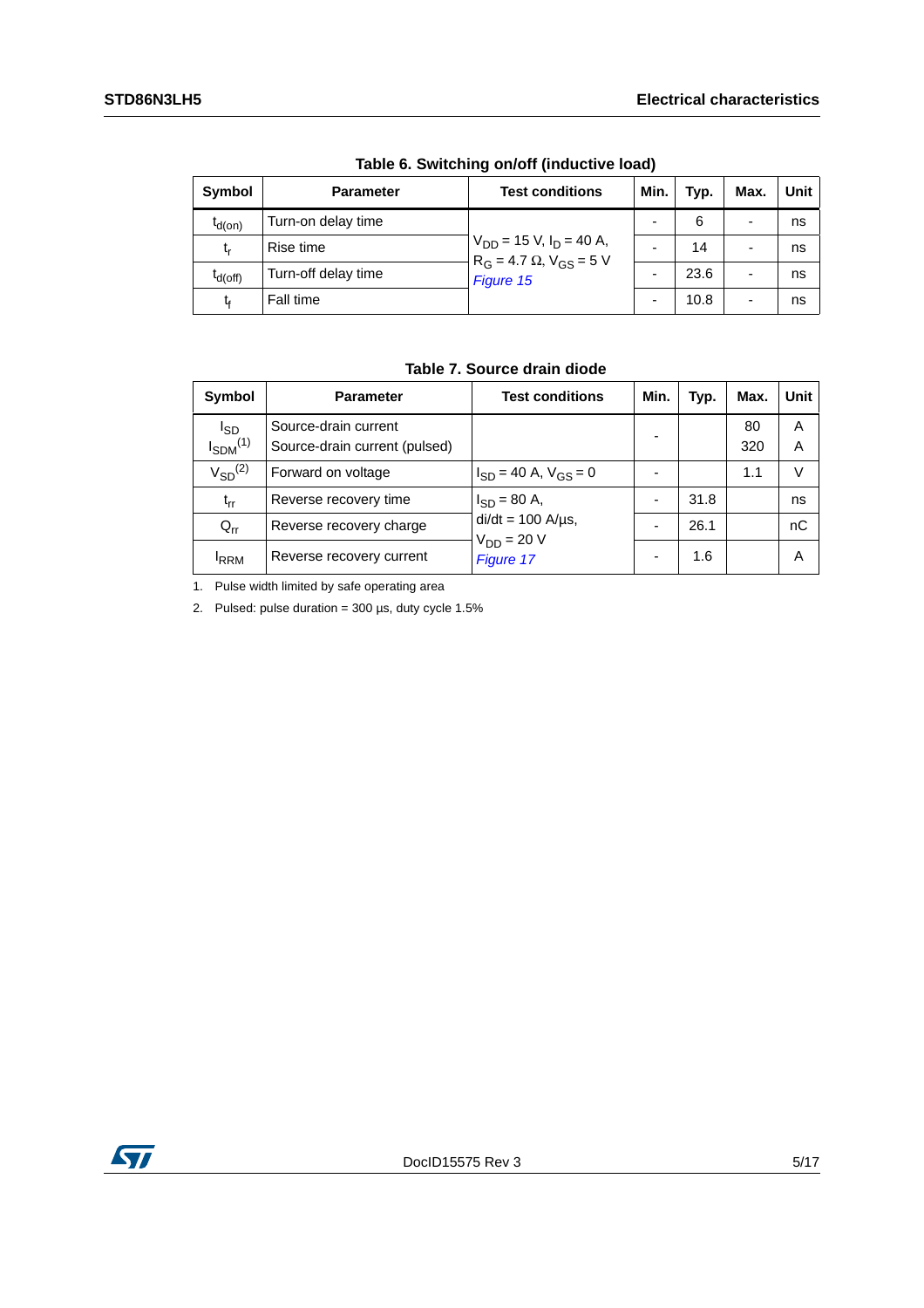| Symbol       | <b>Parameter</b>    | <b>Test conditions</b>                                                          | Min. | Typ. | Max.                     | <b>Unit</b> |
|--------------|---------------------|---------------------------------------------------------------------------------|------|------|--------------------------|-------------|
| $t_{d(on)}$  | Turn-on delay time  | $V_{DD}$ = 15 V, $I_D$ = 40 A,<br>$R_G = 4.7 \Omega, V_{GS} = 5 V$<br>Figure 15 |      | 6    | $\overline{\phantom{a}}$ | ns          |
| t,           | Rise time           |                                                                                 |      | 14   | $\overline{\phantom{a}}$ | ns          |
| $I_{d(off)}$ | Turn-off delay time |                                                                                 |      | 23.6 | $\overline{\phantom{a}}$ | ns          |
| t,           | Fall time           |                                                                                 |      | 10.8 | ٠                        | ns          |

**Table 6. Switching on/off (inductive load)**

### **Table 7. Source drain diode**

| <b>Symbol</b>   | <b>Parameter</b>              | <b>Test conditions</b>                    | Min. | Typ. | Max. | Unit |
|-----------------|-------------------------------|-------------------------------------------|------|------|------|------|
| <sup>I</sup> SD | Source-drain current          |                                           |      |      | 80   | A    |
| $I_{SDM}^{(1)}$ | Source-drain current (pulsed) |                                           | -    |      | 320  | Α    |
| $V_{SD}^{(2)}$  | Forward on voltage            | $I_{SD}$ = 40 A, $V_{GS}$ = 0             |      |      | 1.1  | v    |
| $t_{rr}$        | Reverse recovery time         | $I_{SD} = 80 A,$                          |      | 31.8 |      | ns   |
| $Q_{rr}$        | Reverse recovery charge       | $di/dt = 100$ A/ $\mu$ s,<br>$VDD = 20 V$ |      | 26.1 |      | nС   |
| <b>RRM</b>      | Reverse recovery current      | Figure 17                                 |      | 1.6  |      | Α    |

1. Pulse width limited by safe operating area

2. Pulsed: pulse duration =  $300 \,\mu s$ , duty cycle  $1.5\%$ 

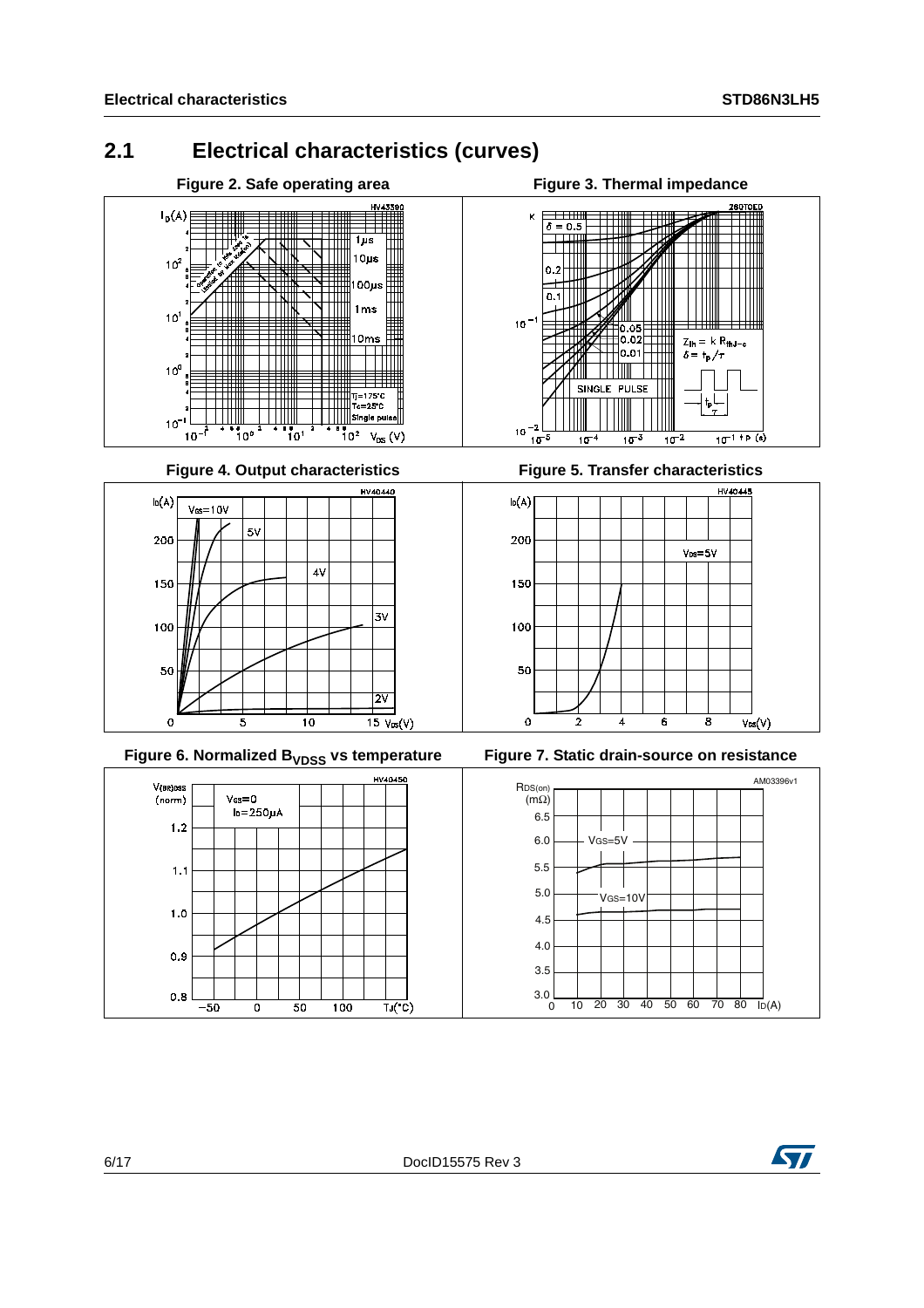### <span id="page-5-0"></span>**2.1 Electrical characteristics (curves)**





Figure 4. Output characteristics **Figure 5. Transfer characteristics** 



Figure 6. Normalized B<sub>VDSS</sub> vs temperature Figure 7. Static drain-source on resistance











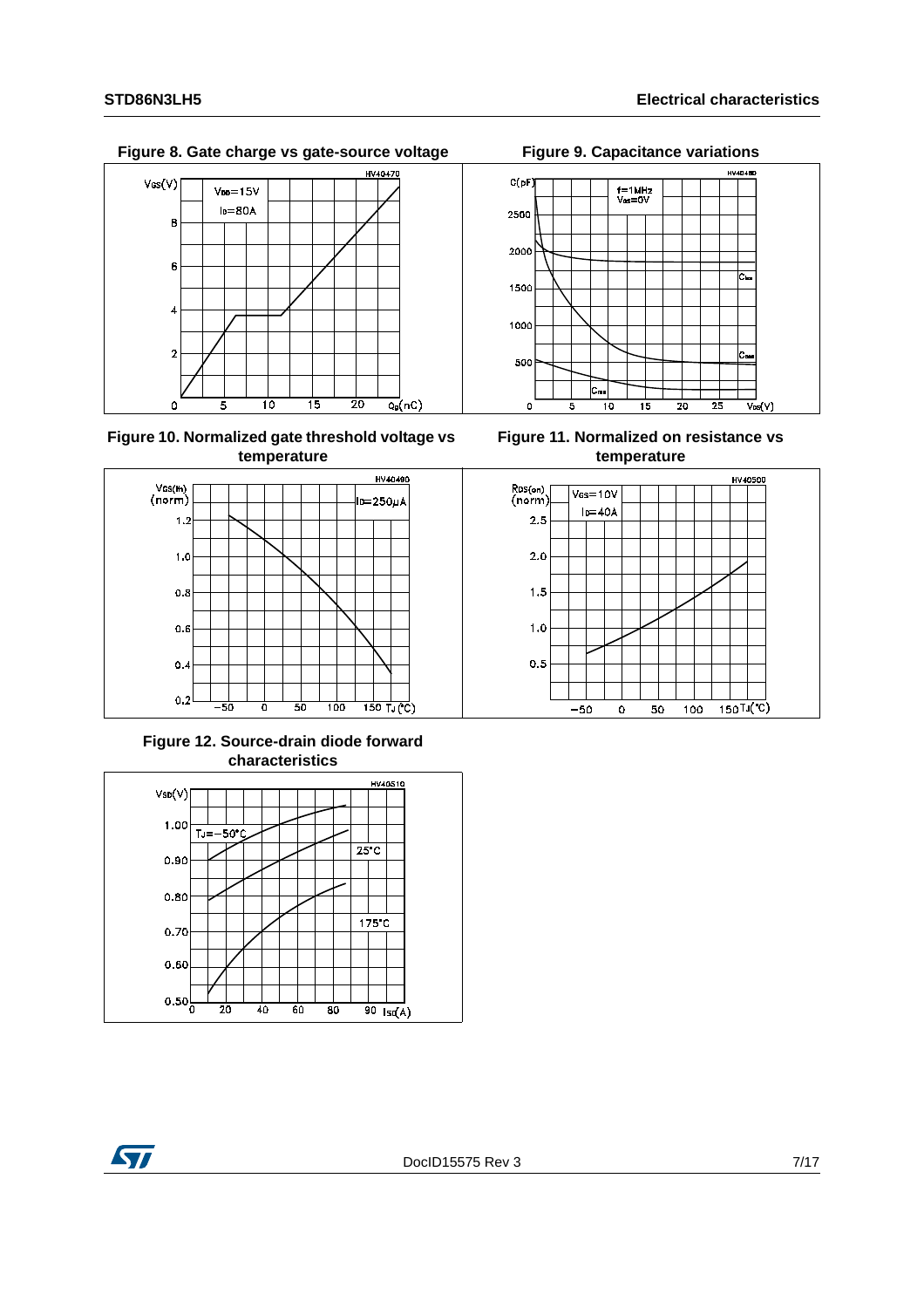Figure 8. Gate charge vs gate-source voltage Figure 9. Capacitance variations



**Figure 10. Normalized gate threshold voltage vs temperature**



**Figure 12. Source-drain diode forward characteristics**





**Figure 11. Normalized on resistance vs temperature**



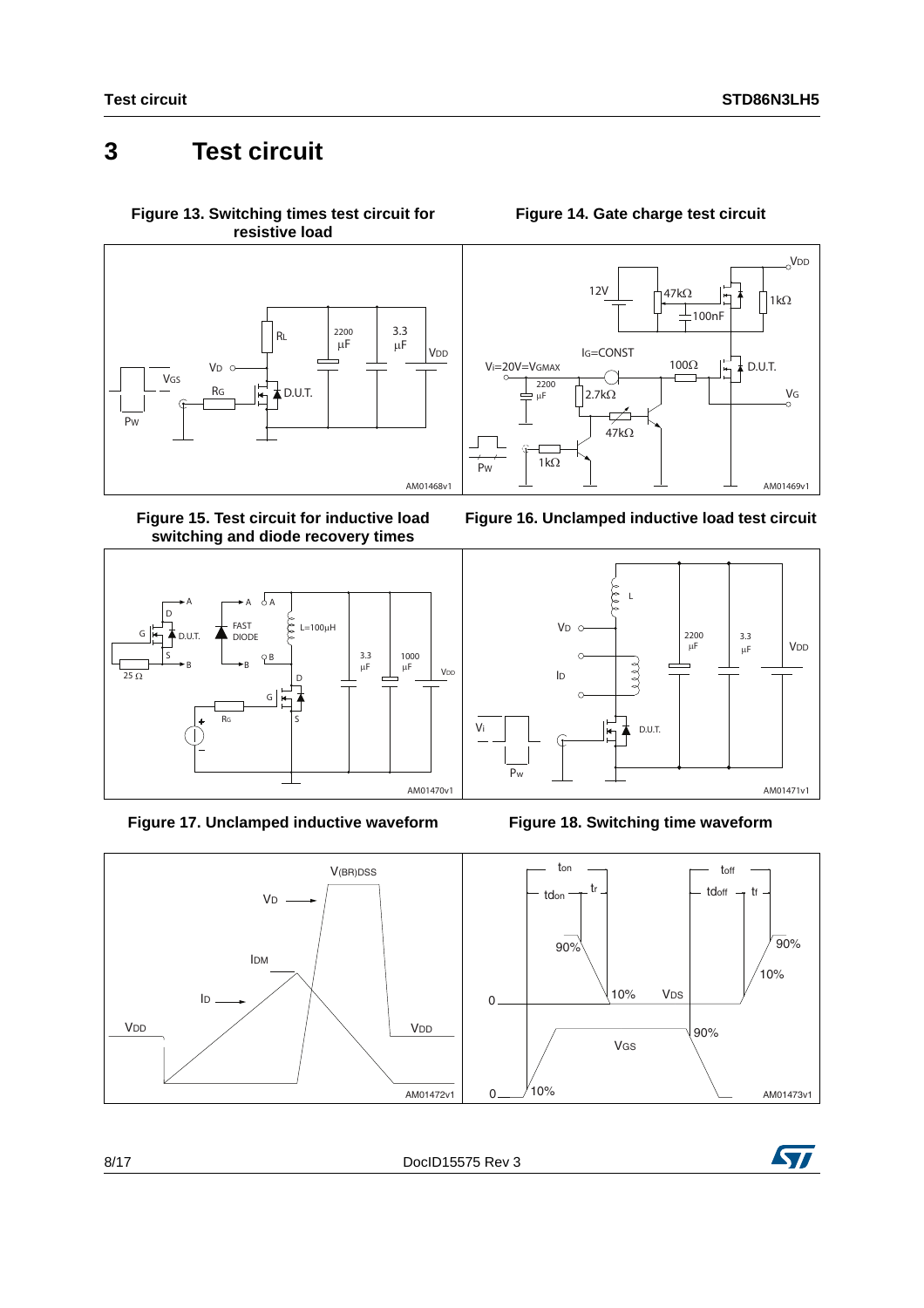### <span id="page-7-0"></span>**3 Test circuit**



<span id="page-7-2"></span>**Figure 15. Test circuit for inductive load switching and diode recovery times**



<span id="page-7-3"></span>**Figure 17. Unclamped inductive waveform Figure 18. Switching time waveform**





<span id="page-7-1"></span>









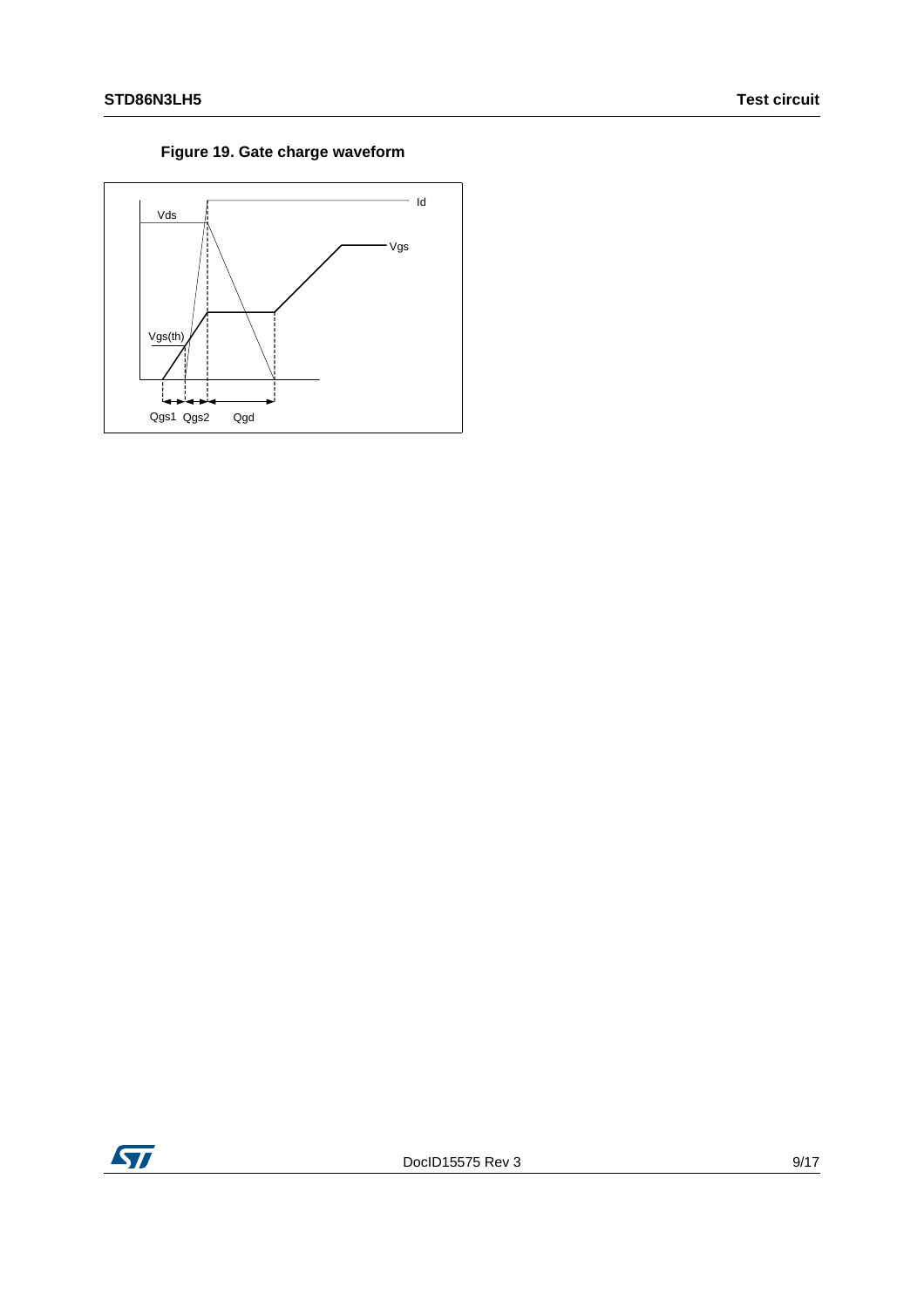### **Figure 19. Gate charge waveform**



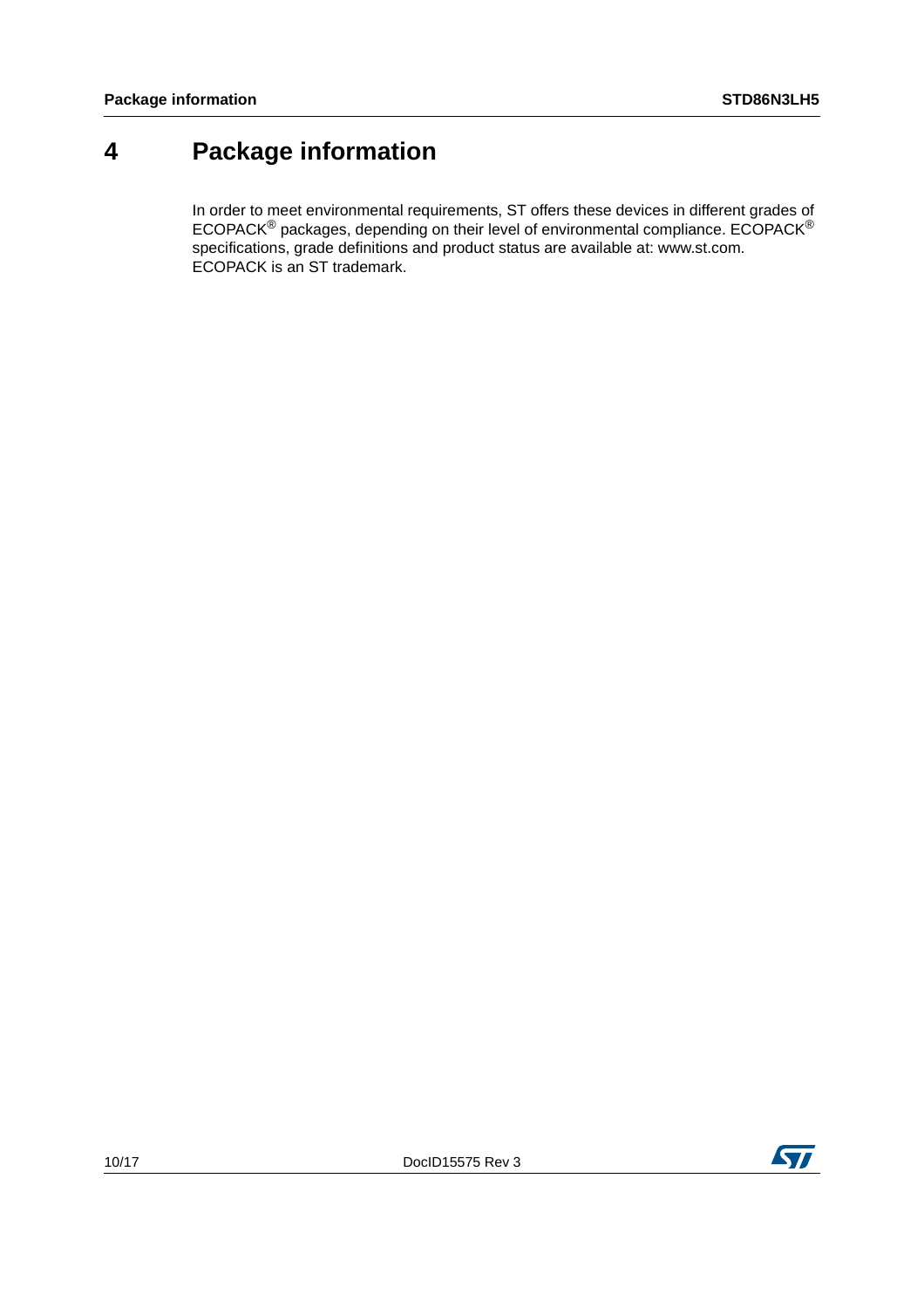### <span id="page-9-0"></span>**4 Package information**

In order to meet environmental requirements, ST offers these devices in different grades of ECOPACK® packages, depending on their level of environmental compliance. ECOPACK® specifications, grade definitions and product status are available at: www.st.com. ECOPACK is an ST trademark.

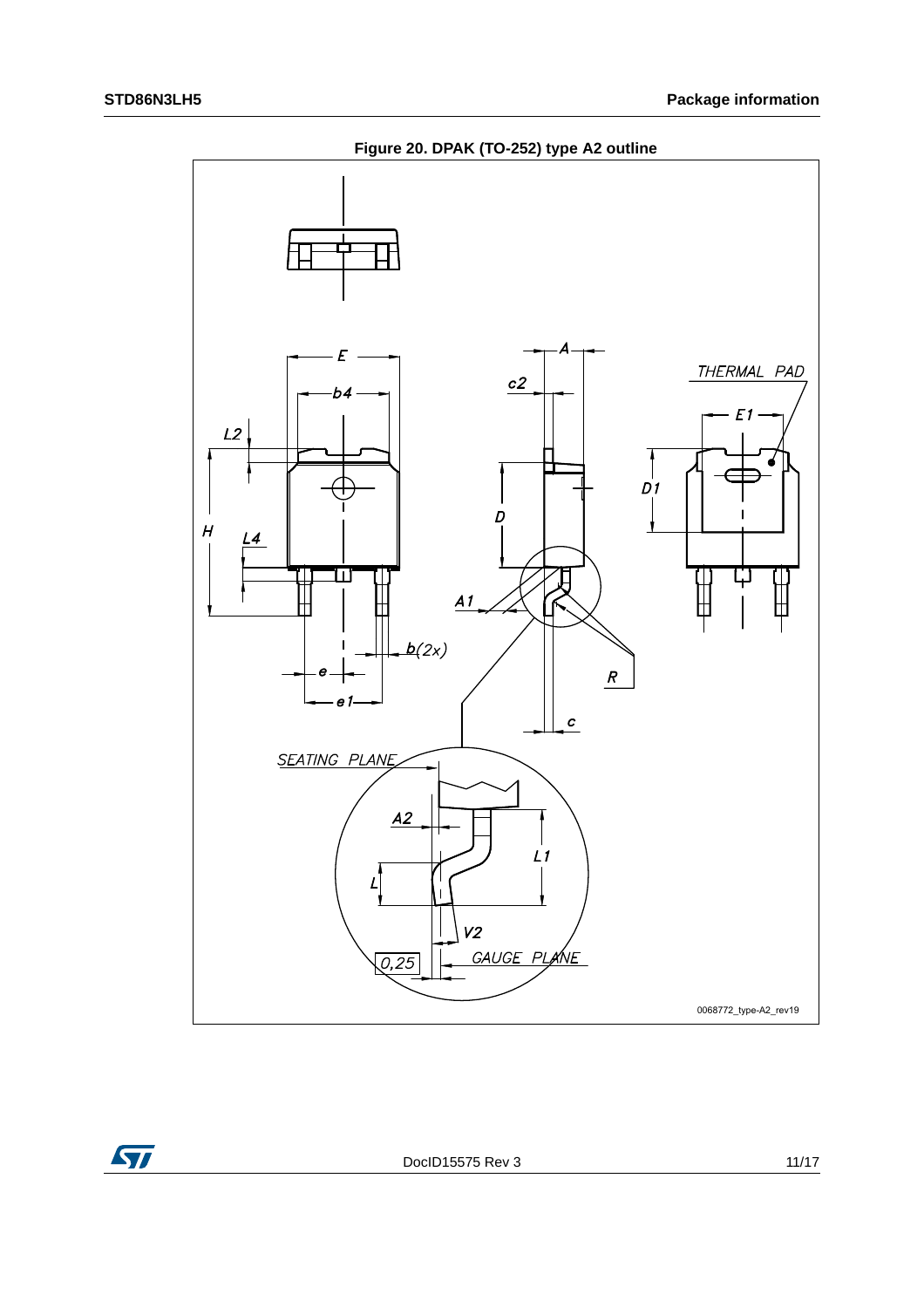



DocID15575 Rev 3 11/17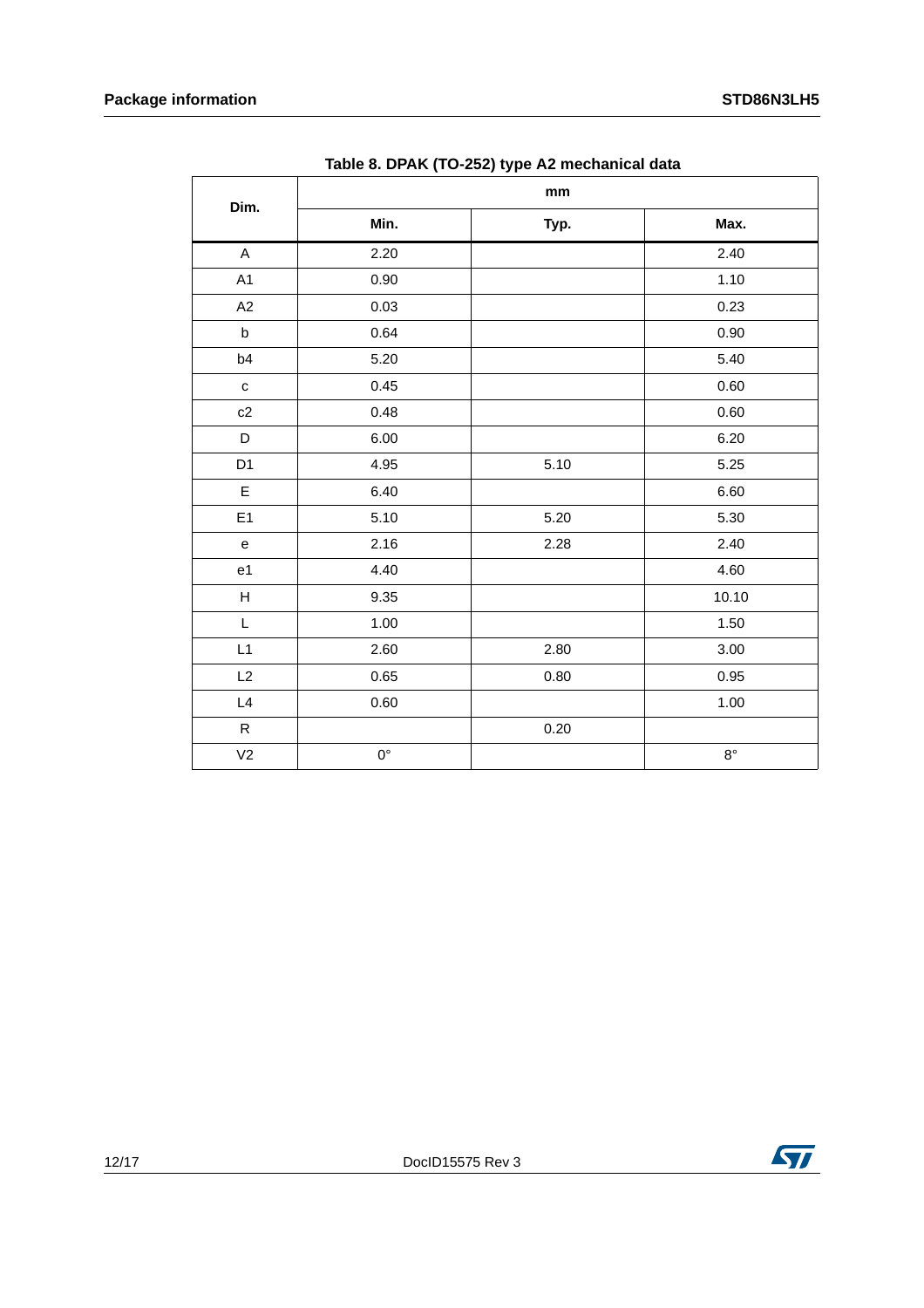|                                            |             | mm   |             |
|--------------------------------------------|-------------|------|-------------|
| Dim.                                       | Min.        | Typ. | Max.        |
| $\boldsymbol{\mathsf{A}}$                  | 2.20        |      | 2.40        |
| A1                                         | 0.90        |      | 1.10        |
| A2                                         | 0.03        |      | 0.23        |
| $\sf b$                                    | 0.64        |      | 0.90        |
| b4                                         | 5.20        |      | 5.40        |
| ${\bf c}$                                  | 0.45        |      | $0.60\,$    |
| c2                                         | 0.48        |      | 0.60        |
| $\mathsf D$                                | 6.00        |      | 6.20        |
| D1                                         | 4.95        | 5.10 | 5.25        |
| $\mathsf E$                                | 6.40        |      | 6.60        |
| E1                                         | 5.10        | 5.20 | 5.30        |
| $\mathsf{e}% _{0}\left( \mathsf{e}\right)$ | 2.16        | 2.28 | 2.40        |
| e1                                         | 4.40        |      | 4.60        |
| $\boldsymbol{\mathsf{H}}$                  | 9.35        |      | 10.10       |
| L                                          | 1.00        |      | 1.50        |
| L1                                         | 2.60        | 2.80 | $3.00\,$    |
| L2                                         | 0.65        | 0.80 | $0.95\,$    |
| L4                                         | 0.60        |      | 1.00        |
| $\mathsf{R}$                               |             | 0.20 |             |
| V <sub>2</sub>                             | $0^{\circ}$ |      | $8^{\circ}$ |

| Table 8. DPAK (TO-252) type A2 mechanical data |  |  |
|------------------------------------------------|--|--|
|                                                |  |  |

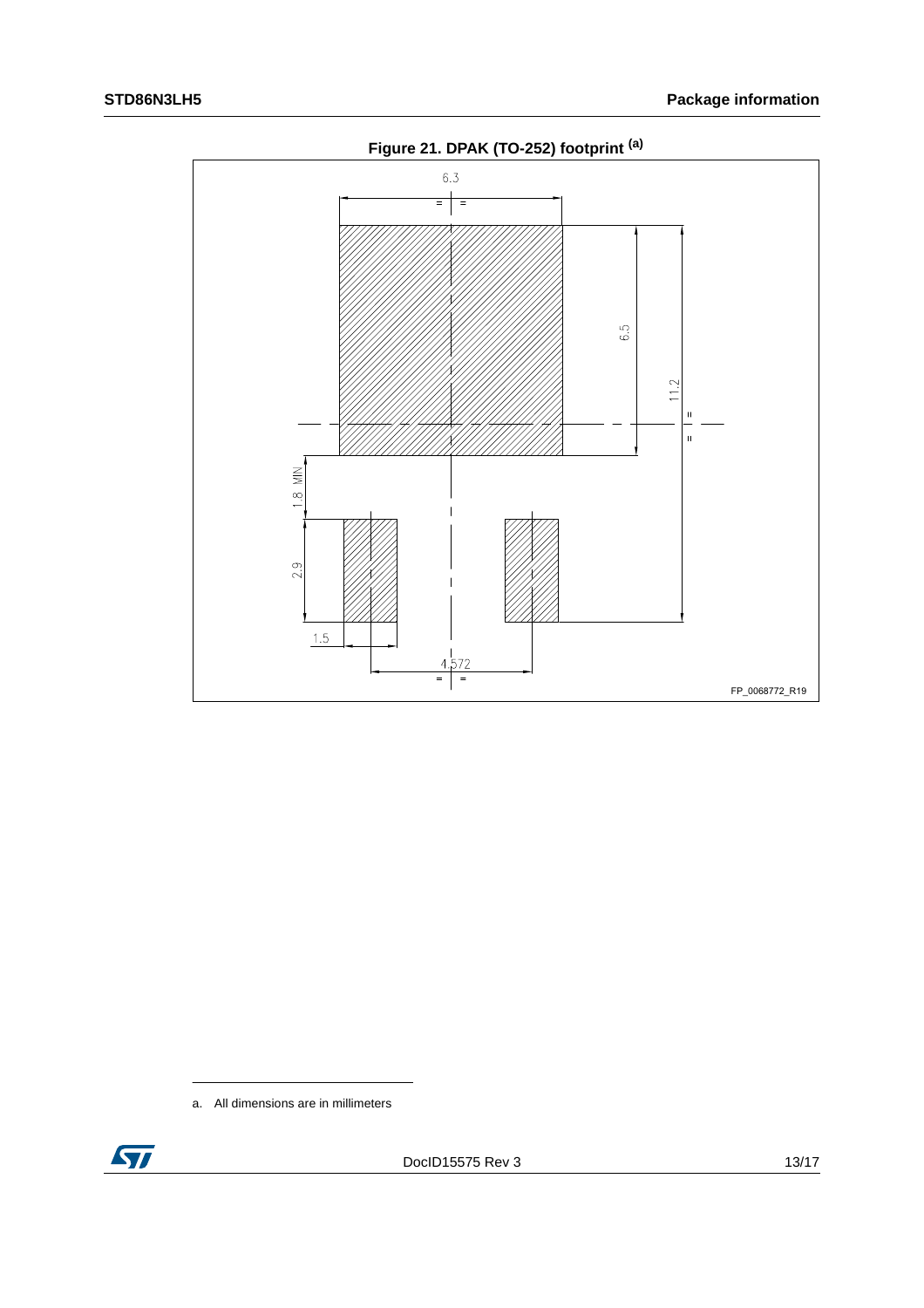

a. All dimensions are in millimeters

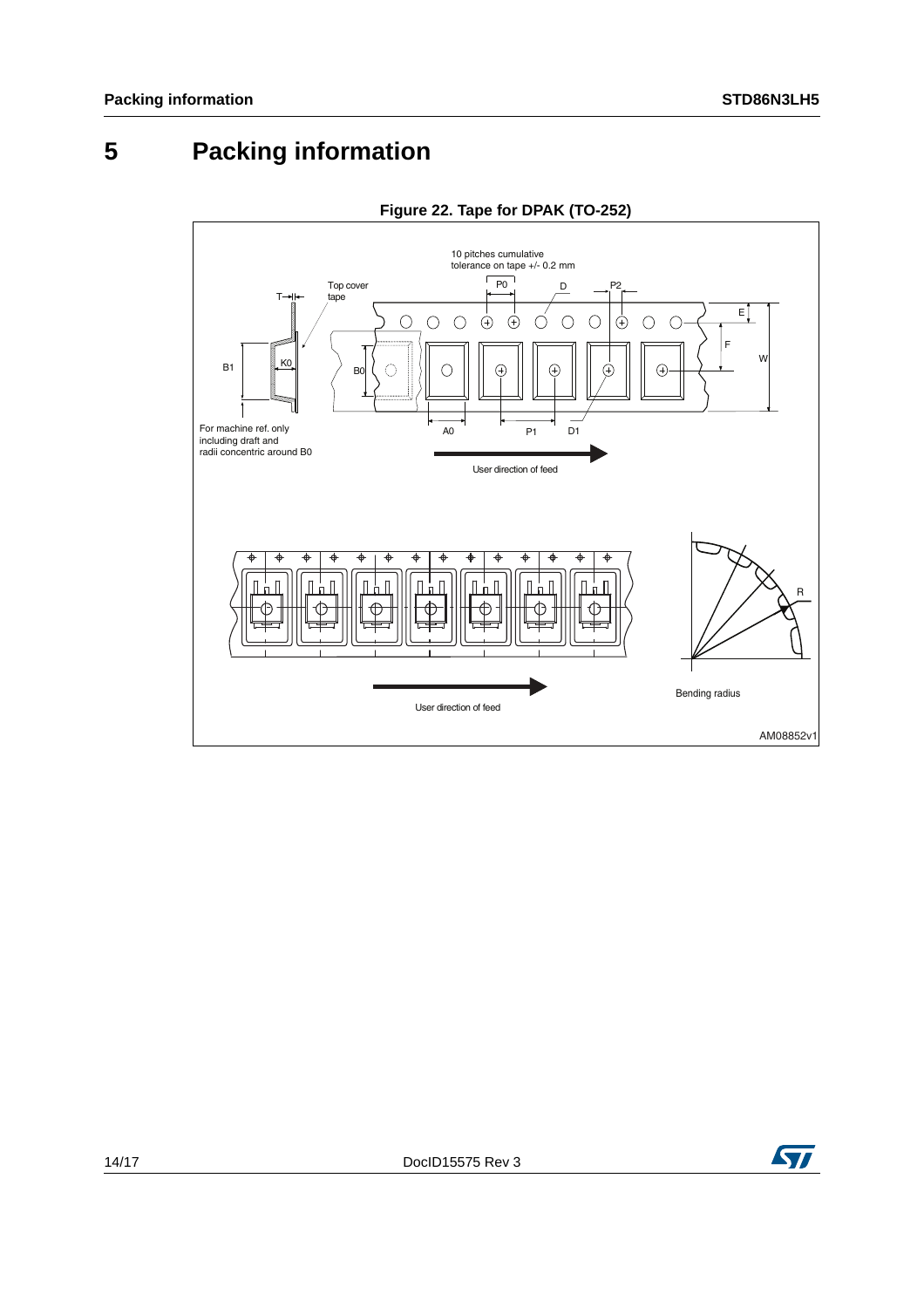## <span id="page-13-0"></span>**5 Packing information**



#### **Figure 22. Tape for DPAK (TO-252)**

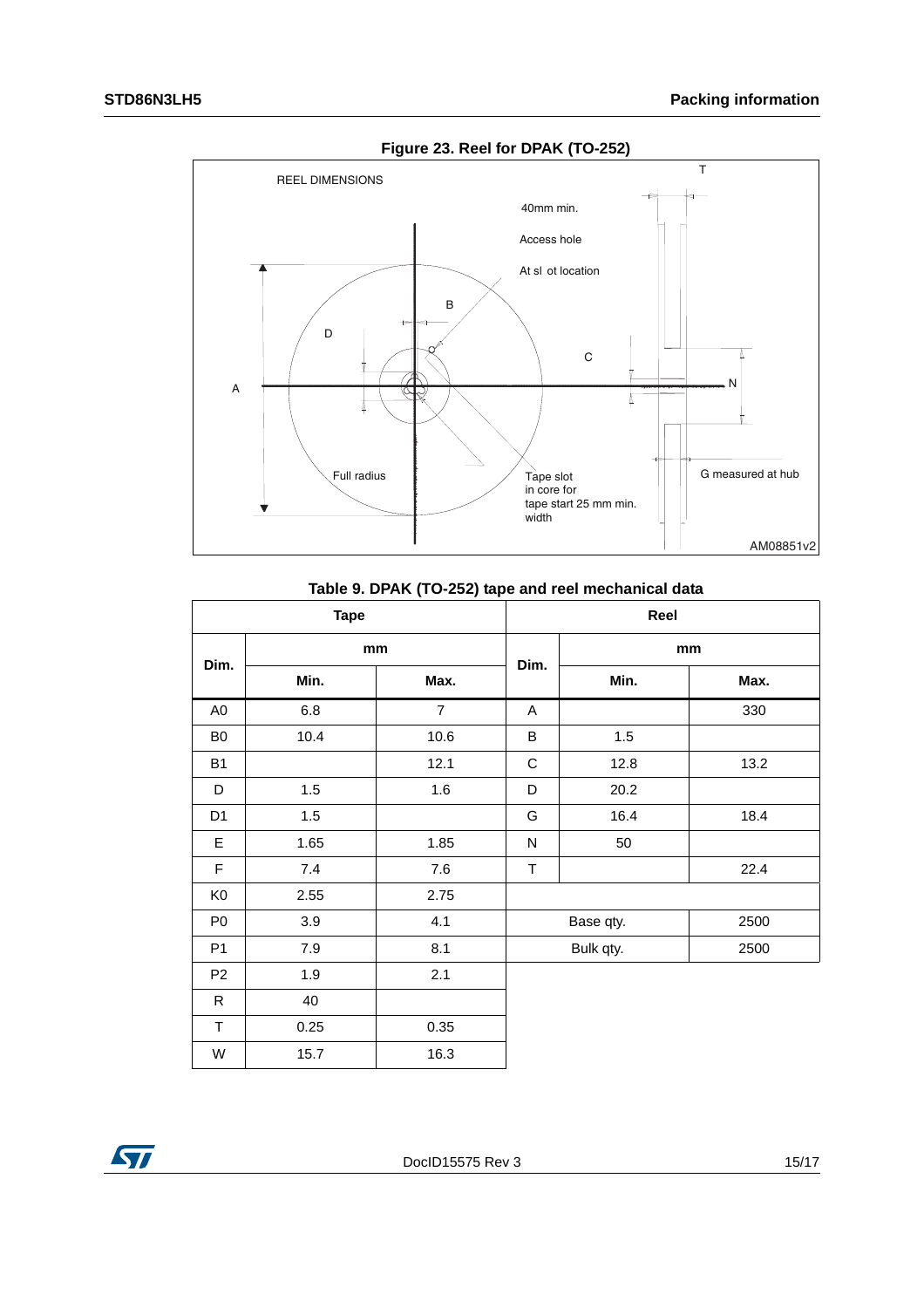

**Figure 23. Reel for DPAK (TO-252)**

| Table 9. DPAK (TO-252) tape and reel mechanical data |  |  |  |  |  |
|------------------------------------------------------|--|--|--|--|--|
|------------------------------------------------------|--|--|--|--|--|

| <b>Tape</b>    |      |                | Reel        |                   |      |  |
|----------------|------|----------------|-------------|-------------------|------|--|
| Dim.           | mm   |                |             | mm                |      |  |
|                | Min. | Max.           | Dim.        | Min.              | Max. |  |
| A <sub>0</sub> | 6.8  | $\overline{7}$ | A           |                   | 330  |  |
| B <sub>0</sub> | 10.4 | 10.6           | B           | 1.5               |      |  |
| <b>B1</b>      |      | 12.1           | $\mathsf C$ | 12.8              | 13.2 |  |
| D              | 1.5  | 1.6            | D           | 20.2              |      |  |
| D <sub>1</sub> | 1.5  |                | G           | 16.4              | 18.4 |  |
| E              | 1.65 | 1.85           | N           | 50                |      |  |
| $\mathsf F$    | 7.4  | 7.6            | $\mathsf T$ |                   | 22.4 |  |
| K <sub>0</sub> | 2.55 | 2.75           |             |                   |      |  |
| P <sub>0</sub> | 3.9  | 4.1            |             | Base qty.<br>2500 |      |  |
| P <sub>1</sub> | 7.9  | 8.1            |             | Bulk qty.         | 2500 |  |
| P <sub>2</sub> | 1.9  | 2.1            |             |                   |      |  |
| $\mathsf{R}$   | 40   |                |             |                   |      |  |
| $\top$         | 0.25 | 0.35           |             |                   |      |  |
| W              | 15.7 | 16.3           |             |                   |      |  |

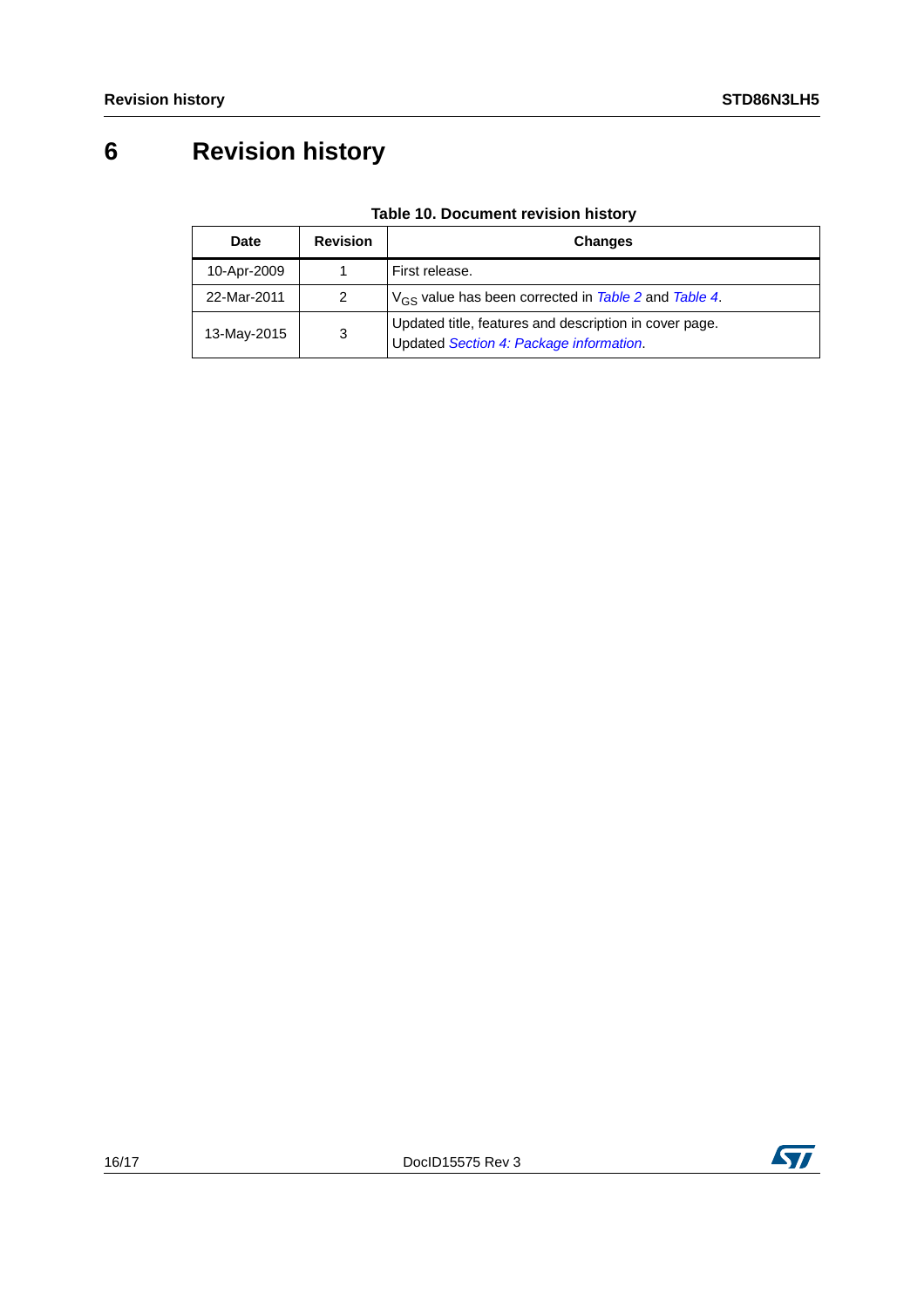# <span id="page-15-0"></span>**6 Revision history**

| Date        | <b>Revision</b>                                                                                        | <b>Changes</b>                                            |
|-------------|--------------------------------------------------------------------------------------------------------|-----------------------------------------------------------|
| 10-Apr-2009 |                                                                                                        | First release.                                            |
| 22-Mar-2011 | 2                                                                                                      | $V_{GS}$ value has been corrected in Table 2 and Table 4. |
| 13-May-2015 | Updated title, features and description in cover page.<br>3<br>Updated Section 4: Package information. |                                                           |

#### **Table 10. Document revision history**